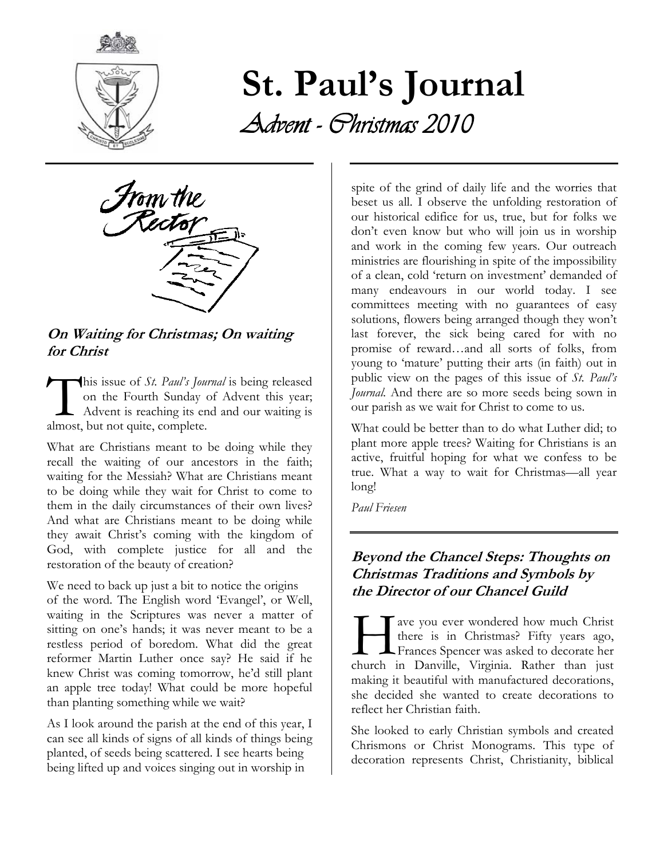

# St. Paul's Journal Advent - Christmas 2010



On Waiting for Christmas; On waiting for Christ

his issue of *St. Paul's Journal* is being released on the Fourth Sunday of Advent this year; Advent is reaching its end and our waiting is This issue of *St. Paul's Jour*<br>on the Fourth Sunday c<br>Advent is reaching its en<br>almost, but not quite, complete.

What are Christians meant to be doing while they recall the waiting of our ancestors in the faith; waiting for the Messiah? What are Christians meant to be doing while they wait for Christ to come to them in the daily circumstances of their own lives? And what are Christians meant to be doing while they await Christ's coming with the kingdom of God, with complete justice for all and the restoration of the beauty of creation?

We need to back up just a bit to notice the origins of the word. The English word 'Evangel', or Well, waiting in the Scriptures was never a matter of sitting on one's hands; it was never meant to be a restless period of boredom. What did the great reformer Martin Luther once say? He said if he knew Christ was coming tomorrow, he'd still plant an apple tree today! What could be more hopeful than planting something while we wait?

As I look around the parish at the end of this year, I can see all kinds of signs of all kinds of things being planted, of seeds being scattered. I see hearts being being lifted up and voices singing out in worship in

spite of the grind of daily life and the worries that beset us all. I observe the unfolding restoration of our historical edifice for us, true, but for folks we don't even know but who will join us in worship and work in the coming few years. Our outreach ministries are flourishing in spite of the impossibility of a clean, cold 'return on investment' demanded of many endeavours in our world today. I see committees meeting with no guarantees of easy solutions, flowers being arranged though they won't last forever, the sick being cared for with no promise of reward…and all sorts of folks, from young to 'mature' putting their arts (in faith) out in public view on the pages of this issue of St. Paul's *Journal*. And there are so more seeds being sown in our parish as we wait for Christ to come to us.

What could be better than to do what Luther did; to plant more apple trees? Waiting for Christians is an active, fruitful hoping for what we confess to be true. What a way to wait for Christmas—all year long!

Paul Friesen

#### Beyond the Chancel Steps: Thoughts on Christmas Traditions and Symbols by the Director of our Chancel Guild

ave you ever wondered how much Christ there is in Christmas? Fifty years ago, Frances Spencer was asked to decorate her The ave you ever wondered how much Christ<br>there is in Christmas? Fifty years ago,<br>Frances Spencer was asked to decorate her<br>church in Danville, Virginia. Rather than just making it beautiful with manufactured decorations, she decided she wanted to create decorations to reflect her Christian faith.

She looked to early Christian symbols and created Chrismons or Christ Monograms. This type of decoration represents Christ, Christianity, biblical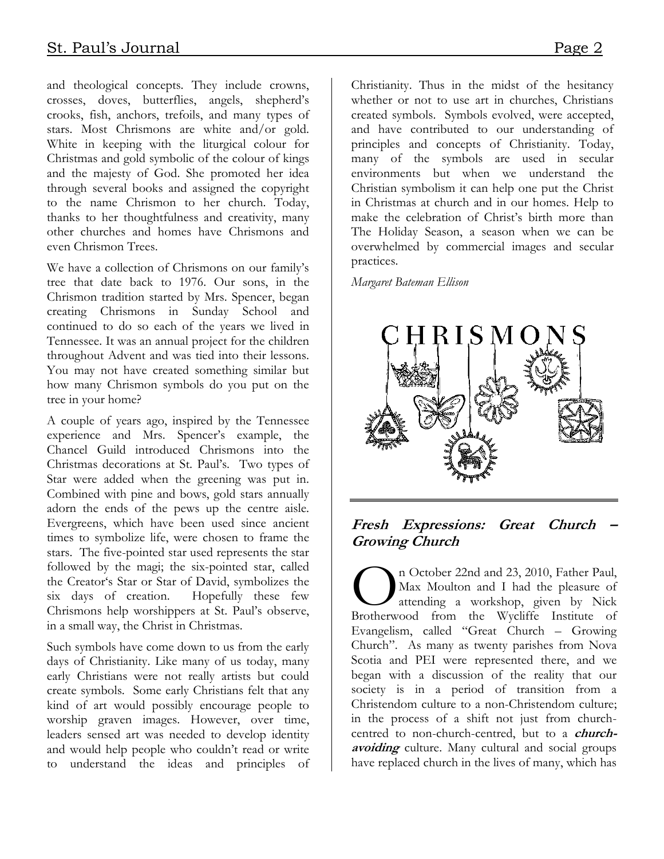and theological concepts. They include crowns, crosses, doves, butterflies, angels, shepherd's crooks, fish, anchors, trefoils, and many types of stars. Most Chrismons are white and/or gold. White in keeping with the liturgical colour for Christmas and gold symbolic of the colour of kings and the majesty of God. She promoted her idea through several books and assigned the copyright to the name Chrismon to her church. Today, thanks to her thoughtfulness and creativity, many other churches and homes have Chrismons and even Chrismon Trees.

We have a collection of Chrismons on our family's tree that date back to 1976. Our sons, in the Chrismon tradition started by Mrs. Spencer, began creating Chrismons in Sunday School and continued to do so each of the years we lived in Tennessee. It was an annual project for the children throughout Advent and was tied into their lessons. You may not have created something similar but how many Chrismon symbols do you put on the tree in your home?

A couple of years ago, inspired by the Tennessee experience and Mrs. Spencer's example, the Chancel Guild introduced Chrismons into the Christmas decorations at St. Paul's. Two types of Star were added when the greening was put in. Combined with pine and bows, gold stars annually adorn the ends of the pews up the centre aisle. Evergreens, which have been used since ancient times to symbolize life, were chosen to frame the stars. The five-pointed star used represents the star followed by the magi; the six-pointed star, called the Creator's Star or Star of David, symbolizes the six days of creation. Hopefully these few Chrismons help worshippers at St. Paul's observe, in a small way, the Christ in Christmas.

Such symbols have come down to us from the early days of Christianity. Like many of us today, many early Christians were not really artists but could create symbols. Some early Christians felt that any kind of art would possibly encourage people to worship graven images. However, over time, leaders sensed art was needed to develop identity and would help people who couldn't read or write to understand the ideas and principles of Christianity. Thus in the midst of the hesitancy whether or not to use art in churches, Christians created symbols. Symbols evolved, were accepted, and have contributed to our understanding of principles and concepts of Christianity. Today, many of the symbols are used in secular environments but when we understand the Christian symbolism it can help one put the Christ in Christmas at church and in our homes. Help to make the celebration of Christ's birth more than The Holiday Season, a season when we can be overwhelmed by commercial images and secular practices.

Margaret Bateman Ellison



#### Fresh Expressions: Great Church – Growing Church

n October 22nd and 23, 2010, Father Paul, Max Moulton and I had the pleasure of attending a workshop, given by Nick n October 22nd and 23, 2010, Father Paul,<br>Max Moulton and I had the pleasure of<br>attending a workshop, given by Nick<br>Brotherwood from the Wycliffe Institute of Evangelism, called "Great Church – Growing Church". As many as twenty parishes from Nova Scotia and PEI were represented there, and we began with a discussion of the reality that our society is in a period of transition from a Christendom culture to a non-Christendom culture; in the process of a shift not just from churchcentred to non-church-centred, but to a *church*avoiding culture. Many cultural and social groups have replaced church in the lives of many, which has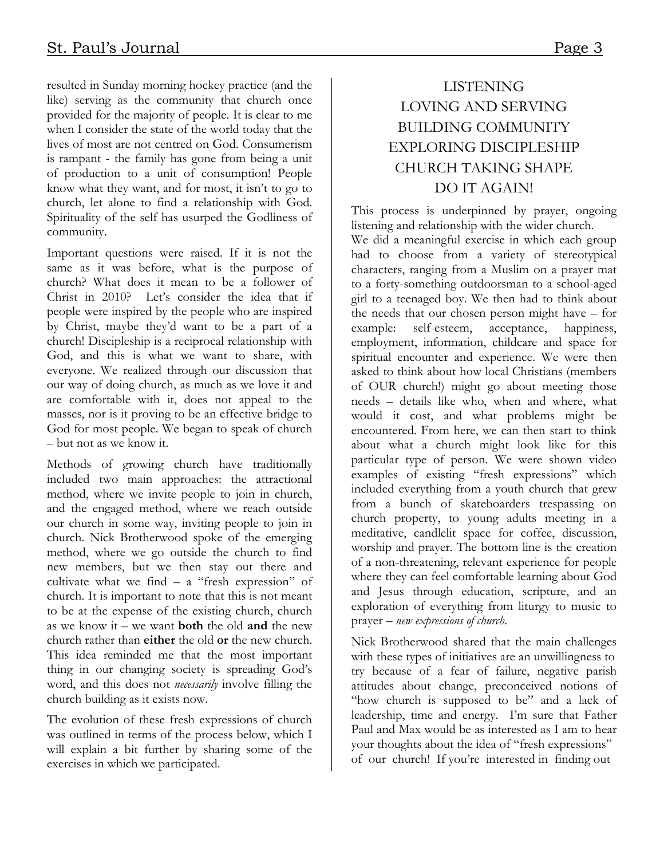resulted in Sunday morning hockey practice (and the like) serving as the community that church once provided for the majority of people. It is clear to me when I consider the state of the world today that the lives of most are not centred on God. Consumerism is rampant - the family has gone from being a unit of production to a unit of consumption! People know what they want, and for most, it isn't to go to church, let alone to find a relationship with God. Spirituality of the self has usurped the Godliness of community.

Important questions were raised. If it is not the same as it was before, what is the purpose of church? What does it mean to be a follower of Christ in 2010? Let's consider the idea that if people were inspired by the people who are inspired by Christ, maybe they'd want to be a part of a church! Discipleship is a reciprocal relationship with God, and this is what we want to share, with everyone. We realized through our discussion that our way of doing church, as much as we love it and are comfortable with it, does not appeal to the masses, nor is it proving to be an effective bridge to God for most people. We began to speak of church – but not as we know it.

Methods of growing church have traditionally included two main approaches: the attractional method, where we invite people to join in church, and the engaged method, where we reach outside our church in some way, inviting people to join in church. Nick Brotherwood spoke of the emerging method, where we go outside the church to find new members, but we then stay out there and cultivate what we find  $-$  a "fresh expression" of church. It is important to note that this is not meant to be at the expense of the existing church, church as we know it – we want **both** the old **and** the new church rather than either the old or the new church. This idea reminded me that the most important thing in our changing society is spreading God's word, and this does not necessarily involve filling the church building as it exists now.

The evolution of these fresh expressions of church was outlined in terms of the process below, which I will explain a bit further by sharing some of the exercises in which we participated.

#### LISTENING LOVING AND SERVING BUILDING COMMUNITY EXPLORING DISCIPLESHIP CHURCH TAKING SHAPE DO IT AGAIN!

This process is underpinned by prayer, ongoing listening and relationship with the wider church.

We did a meaningful exercise in which each group had to choose from a variety of stereotypical characters, ranging from a Muslim on a prayer mat to a forty-something outdoorsman to a school-aged girl to a teenaged boy. We then had to think about the needs that our chosen person might have – for example: self-esteem, acceptance, happiness, employment, information, childcare and space for spiritual encounter and experience. We were then asked to think about how local Christians (members of OUR church!) might go about meeting those needs – details like who, when and where, what would it cost, and what problems might be encountered. From here, we can then start to think about what a church might look like for this particular type of person. We were shown video examples of existing "fresh expressions" which included everything from a youth church that grew from a bunch of skateboarders trespassing on church property, to young adults meeting in a meditative, candlelit space for coffee, discussion, worship and prayer. The bottom line is the creation of a non-threatening, relevant experience for people where they can feel comfortable learning about God and Jesus through education, scripture, and an exploration of everything from liturgy to music to prayer – new expressions of church.

Nick Brotherwood shared that the main challenges with these types of initiatives are an unwillingness to try because of a fear of failure, negative parish attitudes about change, preconceived notions of "how church is supposed to be" and a lack of leadership, time and energy. I'm sure that Father Paul and Max would be as interested as I am to hear your thoughts about the idea of "fresh expressions" of our church! If you're interested in finding out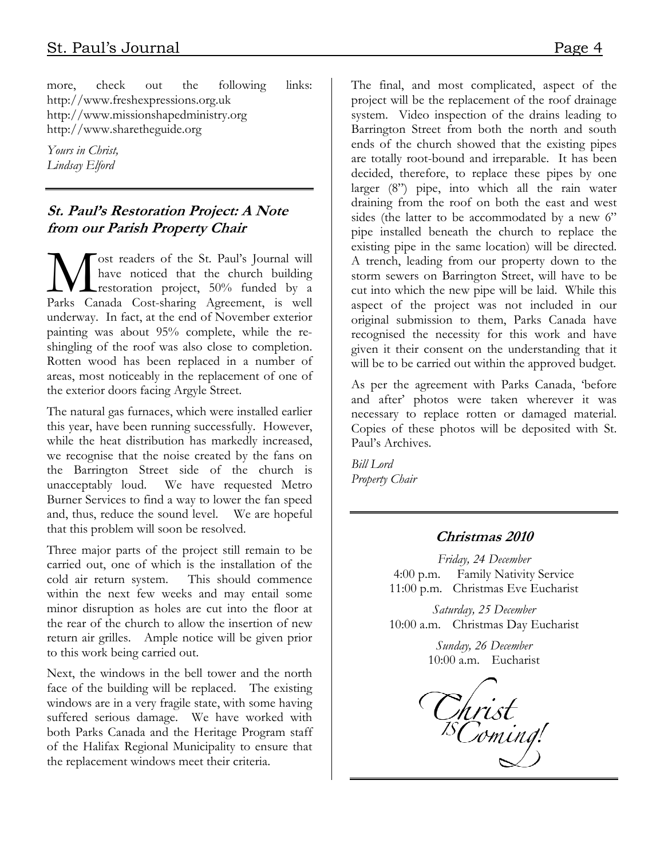more, check out the following links: http://www.freshexpressions.org.uk http://www.missionshapedministry.org http://www.sharetheguide.org

Yours in Christ, Lindsay Elford

#### St. Paul's Restoration Project: A Note from our Parish Property Chair

ost readers of the St. Paul's Journal will have noticed that the church building **L** restoration project, 50% funded by a **M** ost readers of the St. Paul's Journal will<br>have noticed that the church building<br>Parks Canada Cost-sharing Agreement, is well underway. In fact, at the end of November exterior painting was about 95% complete, while the reshingling of the roof was also close to completion. Rotten wood has been replaced in a number of areas, most noticeably in the replacement of one of the exterior doors facing Argyle Street.

The natural gas furnaces, which were installed earlier this year, have been running successfully. However, while the heat distribution has markedly increased, we recognise that the noise created by the fans on the Barrington Street side of the church is unacceptably loud. We have requested Metro Burner Services to find a way to lower the fan speed and, thus, reduce the sound level. We are hopeful that this problem will soon be resolved.

Three major parts of the project still remain to be carried out, one of which is the installation of the cold air return system. This should commence within the next few weeks and may entail some minor disruption as holes are cut into the floor at the rear of the church to allow the insertion of new return air grilles. Ample notice will be given prior to this work being carried out.

Next, the windows in the bell tower and the north face of the building will be replaced. The existing windows are in a very fragile state, with some having suffered serious damage. We have worked with both Parks Canada and the Heritage Program staff of the Halifax Regional Municipality to ensure that the replacement windows meet their criteria.

The final, and most complicated, aspect of the project will be the replacement of the roof drainage system. Video inspection of the drains leading to Barrington Street from both the north and south ends of the church showed that the existing pipes are totally root-bound and irreparable. It has been decided, therefore, to replace these pipes by one larger (8") pipe, into which all the rain water draining from the roof on both the east and west sides (the latter to be accommodated by a new 6" pipe installed beneath the church to replace the existing pipe in the same location) will be directed. A trench, leading from our property down to the storm sewers on Barrington Street, will have to be cut into which the new pipe will be laid. While this aspect of the project was not included in our original submission to them, Parks Canada have recognised the necessity for this work and have given it their consent on the understanding that it will be to be carried out within the approved budget.

As per the agreement with Parks Canada, 'before and after' photos were taken wherever it was necessary to replace rotten or damaged material. Copies of these photos will be deposited with St. Paul's Archives.

Bill Lord Property Chair

#### Christmas 2010

Friday, 24 December 4:00 p.m. Family Nativity Service 11:00 p.m. Christmas Eve Eucharist

Saturday, 25 December 10:00 a.m. Christmas Day Eucharist

> Sunday, 26 December 10:00 a.m. Eucharist

Christ<br><sup>IS</sup>Coming!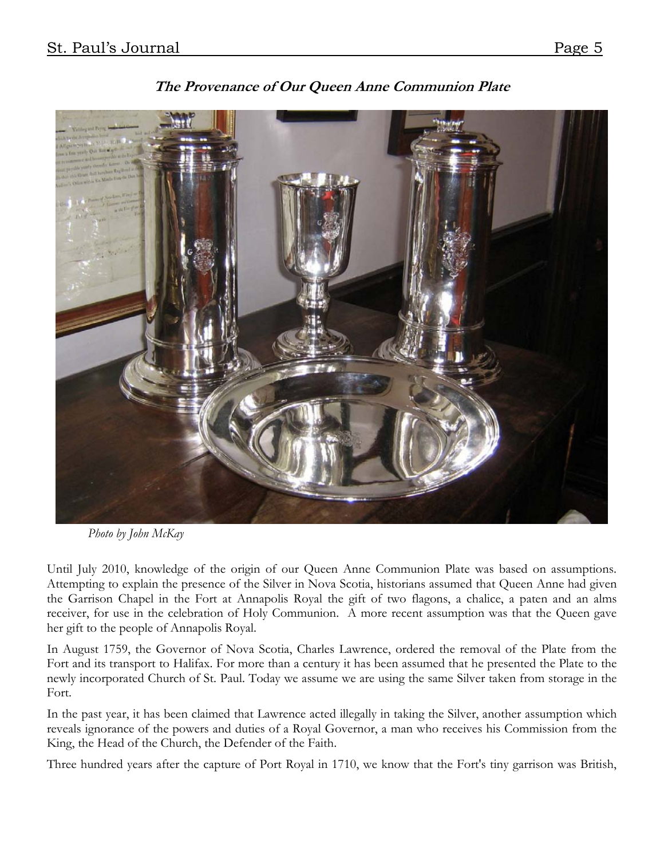

The Provenance of Our Queen Anne Communion Plate

Photo by John McKay

Until July 2010, knowledge of the origin of our Queen Anne Communion Plate was based on assumptions. Attempting to explain the presence of the Silver in Nova Scotia, historians assumed that Queen Anne had given the Garrison Chapel in the Fort at Annapolis Royal the gift of two flagons, a chalice, a paten and an alms receiver, for use in the celebration of Holy Communion. A more recent assumption was that the Queen gave her gift to the people of Annapolis Royal.

In August 1759, the Governor of Nova Scotia, Charles Lawrence, ordered the removal of the Plate from the Fort and its transport to Halifax. For more than a century it has been assumed that he presented the Plate to the newly incorporated Church of St. Paul. Today we assume we are using the same Silver taken from storage in the Fort.

In the past year, it has been claimed that Lawrence acted illegally in taking the Silver, another assumption which reveals ignorance of the powers and duties of a Royal Governor, a man who receives his Commission from the King, the Head of the Church, the Defender of the Faith.

Three hundred years after the capture of Port Royal in 1710, we know that the Fort's tiny garrison was British,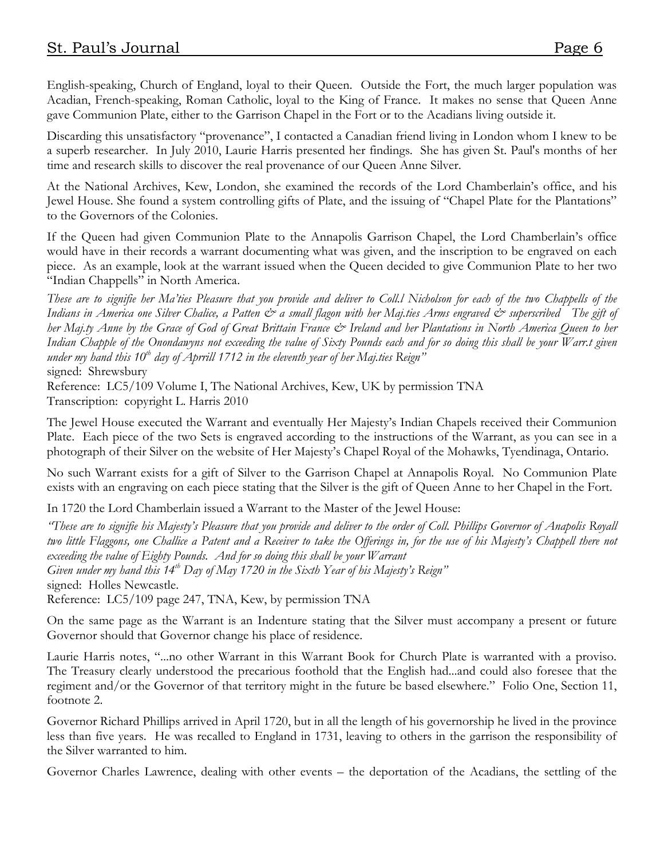English-speaking, Church of England, loyal to their Queen. Outside the Fort, the much larger population was Acadian, French-speaking, Roman Catholic, loyal to the King of France. It makes no sense that Queen Anne gave Communion Plate, either to the Garrison Chapel in the Fort or to the Acadians living outside it.

Discarding this unsatisfactory "provenance", I contacted a Canadian friend living in London whom I knew to be a superb researcher. In July 2010, Laurie Harris presented her findings. She has given St. Paul's months of her time and research skills to discover the real provenance of our Queen Anne Silver.

At the National Archives, Kew, London, she examined the records of the Lord Chamberlain's office, and his Jewel House. She found a system controlling gifts of Plate, and the issuing of "Chapel Plate for the Plantations" to the Governors of the Colonies.

If the Queen had given Communion Plate to the Annapolis Garrison Chapel, the Lord Chamberlain's office would have in their records a warrant documenting what was given, and the inscription to be engraved on each piece. As an example, look at the warrant issued when the Queen decided to give Communion Plate to her two "Indian Chappells" in North America.

These are to signifie her Ma'ties Pleasure that you provide and deliver to Coll.l Nicholson for each of the two Chappells of the Indians in America one Silver Chalice, a Patten  $\dot{\mathcal{O}}$  a small flagon with her Maj.ties Arms engraved  $\dot{\mathcal{O}}$  superscribed The gift of her Maj.ty Anne by the Grace of God of Great Brittain France & Ireland and her Plantations in North America Queen to her Indian Chapple of the Onondawyns not exceeding the value of Sixty Pounds each and for so doing this shall be your Warr.t given under my hand this 10<sup>th</sup> day of Aprrill 1712 in the eleventh year of her Maj.ties Reign" signed: Shrewsbury

Reference: LC5/109 Volume I, The National Archives, Kew, UK by permission TNA Transcription: copyright L. Harris 2010

The Jewel House executed the Warrant and eventually Her Majesty's Indian Chapels received their Communion Plate. Each piece of the two Sets is engraved according to the instructions of the Warrant, as you can see in a photograph of their Silver on the website of Her Majesty's Chapel Royal of the Mohawks, Tyendinaga, Ontario.

No such Warrant exists for a gift of Silver to the Garrison Chapel at Annapolis Royal. No Communion Plate exists with an engraving on each piece stating that the Silver is the gift of Queen Anne to her Chapel in the Fort.

In 1720 the Lord Chamberlain issued a Warrant to the Master of the Jewel House:

"These are to signifie his Majesty's Pleasure that you provide and deliver to the order of Coll. Phillips Governor of Anapolis Royall two little Flaggons, one Challice a Patent and a Receiver to take the Offerings in, for the use of his Majesty's Chappell there not exceeding the value of Eighty Pounds. And for so doing this shall be your Warrant Given under my hand this  $14^{th}$  Day of May 1720 in the Sixth Year of his Majesty's Reign" signed: Holles Newcastle.

Reference: LC5/109 page 247, TNA, Kew, by permission TNA

On the same page as the Warrant is an Indenture stating that the Silver must accompany a present or future Governor should that Governor change his place of residence.

Laurie Harris notes, "...no other Warrant in this Warrant Book for Church Plate is warranted with a proviso. The Treasury clearly understood the precarious foothold that the English had...and could also foresee that the regiment and/or the Governor of that territory might in the future be based elsewhere." Folio One, Section 11, footnote 2.

Governor Richard Phillips arrived in April 1720, but in all the length of his governorship he lived in the province less than five years. He was recalled to England in 1731, leaving to others in the garrison the responsibility of the Silver warranted to him.

Governor Charles Lawrence, dealing with other events – the deportation of the Acadians, the settling of the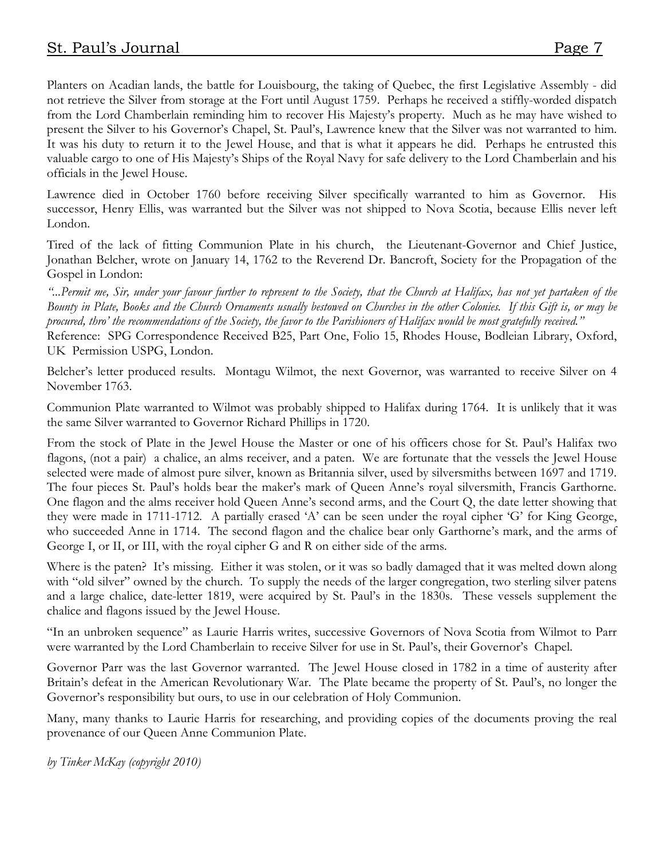Planters on Acadian lands, the battle for Louisbourg, the taking of Quebec, the first Legislative Assembly - did not retrieve the Silver from storage at the Fort until August 1759. Perhaps he received a stiffly-worded dispatch from the Lord Chamberlain reminding him to recover His Majesty's property. Much as he may have wished to present the Silver to his Governor's Chapel, St. Paul's, Lawrence knew that the Silver was not warranted to him. It was his duty to return it to the Jewel House, and that is what it appears he did. Perhaps he entrusted this valuable cargo to one of His Majesty's Ships of the Royal Navy for safe delivery to the Lord Chamberlain and his officials in the Jewel House.

Lawrence died in October 1760 before receiving Silver specifically warranted to him as Governor. His successor, Henry Ellis, was warranted but the Silver was not shipped to Nova Scotia, because Ellis never left London.

Tired of the lack of fitting Communion Plate in his church, the Lieutenant-Governor and Chief Justice, Jonathan Belcher, wrote on January 14, 1762 to the Reverend Dr. Bancroft, Society for the Propagation of the Gospel in London:

"...Permit me, Sir, under your favour further to represent to the Society, that the Church at Halifax, has not yet partaken of the Bounty in Plate, Books and the Church Ornaments usually bestowed on Churches in the other Colonies. If this Gift is, or may be procured, thro' the recommendations of the Society, the favor to the Parishioners of Halifax would be most gratefully received."

Reference: SPG Correspondence Received B25, Part One, Folio 15, Rhodes House, Bodleian Library, Oxford, UK Permission USPG, London.

Belcher's letter produced results. Montagu Wilmot, the next Governor, was warranted to receive Silver on 4 November 1763.

Communion Plate warranted to Wilmot was probably shipped to Halifax during 1764. It is unlikely that it was the same Silver warranted to Governor Richard Phillips in 1720.

From the stock of Plate in the Jewel House the Master or one of his officers chose for St. Paul's Halifax two flagons, (not a pair) a chalice, an alms receiver, and a paten. We are fortunate that the vessels the Jewel House selected were made of almost pure silver, known as Britannia silver, used by silversmiths between 1697 and 1719. The four pieces St. Paul's holds bear the maker's mark of Queen Anne's royal silversmith, Francis Garthorne. One flagon and the alms receiver hold Queen Anne's second arms, and the Court Q, the date letter showing that they were made in 1711-1712. A partially erased 'A' can be seen under the royal cipher 'G' for King George, who succeeded Anne in 1714. The second flagon and the chalice bear only Garthorne's mark, and the arms of George I, or II, or III, with the royal cipher G and R on either side of the arms.

Where is the paten? It's missing. Either it was stolen, or it was so badly damaged that it was melted down along with "old silver" owned by the church. To supply the needs of the larger congregation, two sterling silver patens and a large chalice, date-letter 1819, were acquired by St. Paul's in the 1830s. These vessels supplement the chalice and flagons issued by the Jewel House.

"In an unbroken sequence" as Laurie Harris writes, successive Governors of Nova Scotia from Wilmot to Parr were warranted by the Lord Chamberlain to receive Silver for use in St. Paul's, their Governor's Chapel.

Governor Parr was the last Governor warranted. The Jewel House closed in 1782 in a time of austerity after Britain's defeat in the American Revolutionary War. The Plate became the property of St. Paul's, no longer the Governor's responsibility but ours, to use in our celebration of Holy Communion.

Many, many thanks to Laurie Harris for researching, and providing copies of the documents proving the real provenance of our Queen Anne Communion Plate.

by Tinker McKay (copyright 2010)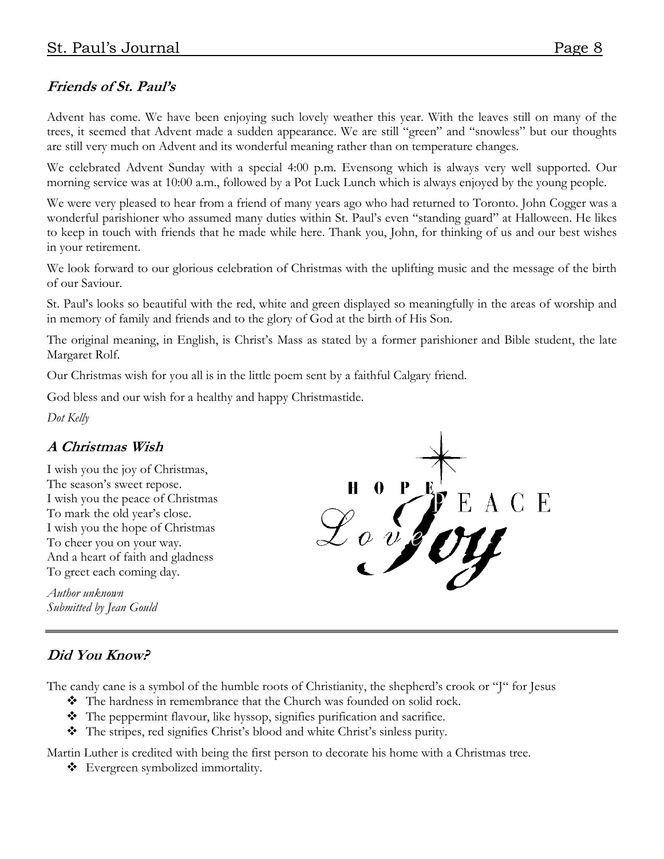#### Friends of St. Paul's

Advent has come. We have been enjoying such lovely weather this year. With the leaves still on many of the trees, it seemed that Advent made a sudden appearance. We are still "green" and "snowless" but our thoughts are still very much on Advent and its wonderful meaning rather than on temperature changes.

We celebrated Advent Sunday with a special 4:00 p.m. Evensong which is always very well supported. Our morning service was at 10:00 a.m., followed by a Pot Luck Lunch which is always enjoyed by the young people.

We were very pleased to hear from a friend of many years ago who had returned to Toronto. John Cogger was a wonderful parishioner who assumed many duties within St. Paul's even "standing guard" at Halloween. He likes to keep in touch with friends that he made while here. Thank you, John, for thinking of us and our best wishes in your retirement.

We look forward to our glorious celebration of Christmas with the uplifting music and the message of the birth of our Saviour.

St. Paul's looks so beautiful with the red, white and green displayed so meaningfully in the areas of worship and in memory of family and friends and to the glory of God at the birth of His Son.

The original meaning, in English, is Christ's Mass as stated by a former parishioner and Bible student, the late Margaret Rolf.

Our Christmas wish for you all is in the little poem sent by a faithful Calgary friend.

God bless and our wish for a healthy and happy Christmastide.

Dot Kelly

#### A Christmas Wish

I wish you the joy of Christmas, The season's sweet repose. I wish you the peace of Christmas To mark the old year's close. I wish you the hope of Christmas To cheer you on your way. And a heart of faith and gladness To greet each coming day.

Author unknown Submitted by Jean Gould

# 0  $\sigma v$

#### Did You Know?

The candy cane is a symbol of the humble roots of Christianity, the shepherd's crook or "J" for Jesus

- The hardness in remembrance that the Church was founded on solid rock.
- The peppermint flavour, like hyssop, signifies purification and sacrifice.
- The stripes, red signifies Christ's blood and white Christ's sinless purity.

Martin Luther is credited with being the first person to decorate his home with a Christmas tree.

Evergreen symbolized immortality.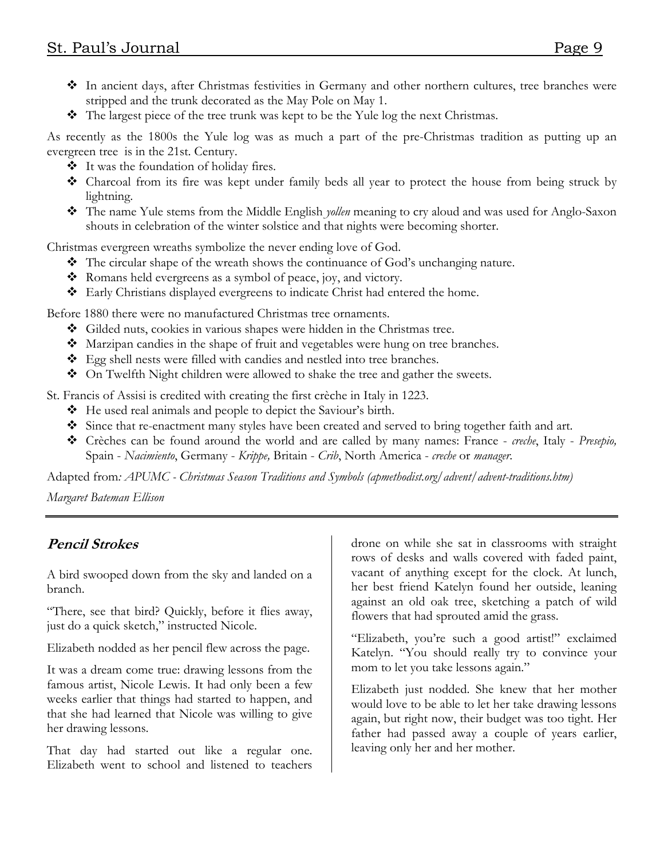- In ancient days, after Christmas festivities in Germany and other northern cultures, tree branches were stripped and the trunk decorated as the May Pole on May 1.
- The largest piece of the tree trunk was kept to be the Yule log the next Christmas.

As recently as the 1800s the Yule log was as much a part of the pre-Christmas tradition as putting up an evergreen tree is in the 21st. Century.

- It was the foundation of holiday fires.
- Charcoal from its fire was kept under family beds all year to protect the house from being struck by lightning.
- $\clubsuit$  The name Yule stems from the Middle English *yollen* meaning to cry aloud and was used for Anglo-Saxon shouts in celebration of the winter solstice and that nights were becoming shorter.

Christmas evergreen wreaths symbolize the never ending love of God.

- The circular shape of the wreath shows the continuance of God's unchanging nature.
- Romans held evergreens as a symbol of peace, joy, and victory.
- Early Christians displayed evergreens to indicate Christ had entered the home.

Before 1880 there were no manufactured Christmas tree ornaments.

- Gilded nuts, cookies in various shapes were hidden in the Christmas tree.
- Marzipan candies in the shape of fruit and vegetables were hung on tree branches.
- Egg shell nests were filled with candies and nestled into tree branches.
- ◆ On Twelfth Night children were allowed to shake the tree and gather the sweets.

St. Francis of Assisi is credited with creating the first crèche in Italy in 1223.

- He used real animals and people to depict the Saviour's birth.
- Since that re-enactment many styles have been created and served to bring together faith and art.
- \* Crèches can be found around the world and are called by many names: France creche, Italy Presepio, Spain - Nacimiento, Germany - Krippe, Britain - Crib, North America - creche or manager.

Adapted from: APUMC - Christmas Season Traditions and Symbols (apmethodist.org/advent/advent-traditions.htm)

Margaret Bateman Ellison

#### Pencil Strokes

A bird swooped down from the sky and landed on a branch.

"There, see that bird? Quickly, before it flies away, just do a quick sketch," instructed Nicole.

Elizabeth nodded as her pencil flew across the page.

It was a dream come true: drawing lessons from the famous artist, Nicole Lewis. It had only been a few weeks earlier that things had started to happen, and that she had learned that Nicole was willing to give her drawing lessons.

That day had started out like a regular one. Elizabeth went to school and listened to teachers drone on while she sat in classrooms with straight rows of desks and walls covered with faded paint, vacant of anything except for the clock. At lunch, her best friend Katelyn found her outside, leaning against an old oak tree, sketching a patch of wild flowers that had sprouted amid the grass.

"Elizabeth, you're such a good artist!" exclaimed Katelyn. "You should really try to convince your mom to let you take lessons again."

Elizabeth just nodded. She knew that her mother would love to be able to let her take drawing lessons again, but right now, their budget was too tight. Her father had passed away a couple of years earlier, leaving only her and her mother.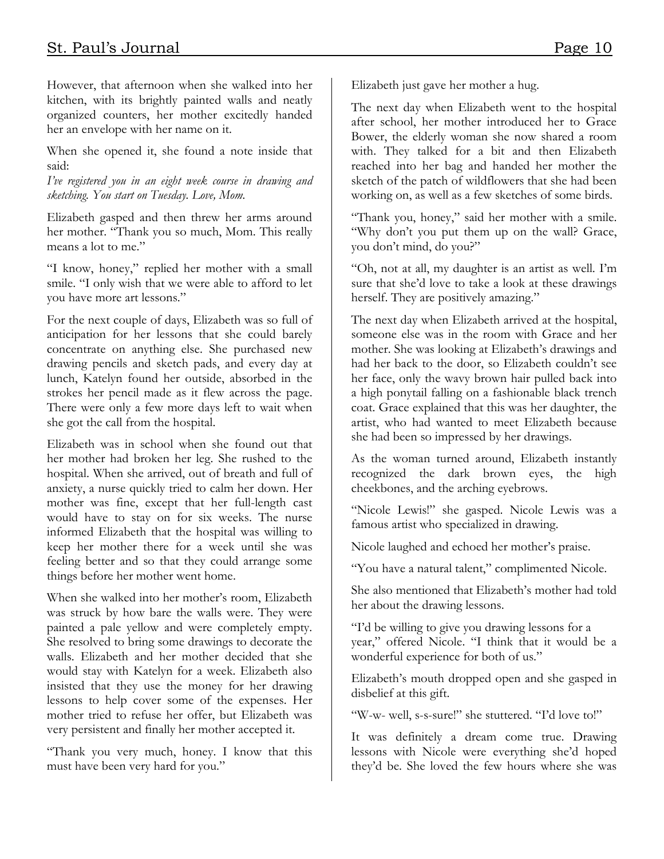However, that afternoon when she walked into her kitchen, with its brightly painted walls and neatly organized counters, her mother excitedly handed her an envelope with her name on it.

When she opened it, she found a note inside that said:

I've registered you in an eight week course in drawing and sketching. You start on Tuesday. Love, Mom.

Elizabeth gasped and then threw her arms around her mother. "Thank you so much, Mom. This really means a lot to me."

"I know, honey," replied her mother with a small smile. "I only wish that we were able to afford to let you have more art lessons."

For the next couple of days, Elizabeth was so full of anticipation for her lessons that she could barely concentrate on anything else. She purchased new drawing pencils and sketch pads, and every day at lunch, Katelyn found her outside, absorbed in the strokes her pencil made as it flew across the page. There were only a few more days left to wait when she got the call from the hospital.

Elizabeth was in school when she found out that her mother had broken her leg. She rushed to the hospital. When she arrived, out of breath and full of anxiety, a nurse quickly tried to calm her down. Her mother was fine, except that her full-length cast would have to stay on for six weeks. The nurse informed Elizabeth that the hospital was willing to keep her mother there for a week until she was feeling better and so that they could arrange some things before her mother went home.

When she walked into her mother's room, Elizabeth was struck by how bare the walls were. They were painted a pale yellow and were completely empty. She resolved to bring some drawings to decorate the walls. Elizabeth and her mother decided that she would stay with Katelyn for a week. Elizabeth also insisted that they use the money for her drawing lessons to help cover some of the expenses. Her mother tried to refuse her offer, but Elizabeth was very persistent and finally her mother accepted it.

"Thank you very much, honey. I know that this must have been very hard for you."

Elizabeth just gave her mother a hug.

The next day when Elizabeth went to the hospital after school, her mother introduced her to Grace Bower, the elderly woman she now shared a room with. They talked for a bit and then Elizabeth reached into her bag and handed her mother the sketch of the patch of wildflowers that she had been working on, as well as a few sketches of some birds.

"Thank you, honey," said her mother with a smile. "Why don't you put them up on the wall? Grace, you don't mind, do you?"

"Oh, not at all, my daughter is an artist as well. I'm sure that she'd love to take a look at these drawings herself. They are positively amazing."

The next day when Elizabeth arrived at the hospital, someone else was in the room with Grace and her mother. She was looking at Elizabeth's drawings and had her back to the door, so Elizabeth couldn't see her face, only the wavy brown hair pulled back into a high ponytail falling on a fashionable black trench coat. Grace explained that this was her daughter, the artist, who had wanted to meet Elizabeth because she had been so impressed by her drawings.

As the woman turned around, Elizabeth instantly recognized the dark brown eyes, the high cheekbones, and the arching eyebrows.

"Nicole Lewis!" she gasped. Nicole Lewis was a famous artist who specialized in drawing.

Nicole laughed and echoed her mother's praise.

"You have a natural talent," complimented Nicole.

She also mentioned that Elizabeth's mother had told her about the drawing lessons.

"I'd be willing to give you drawing lessons for a year," offered Nicole. "I think that it would be a wonderful experience for both of us."

Elizabeth's mouth dropped open and she gasped in disbelief at this gift.

"W-w- well, s-s-sure!" she stuttered. "I'd love to!"

It was definitely a dream come true. Drawing lessons with Nicole were everything she'd hoped they'd be. She loved the few hours where she was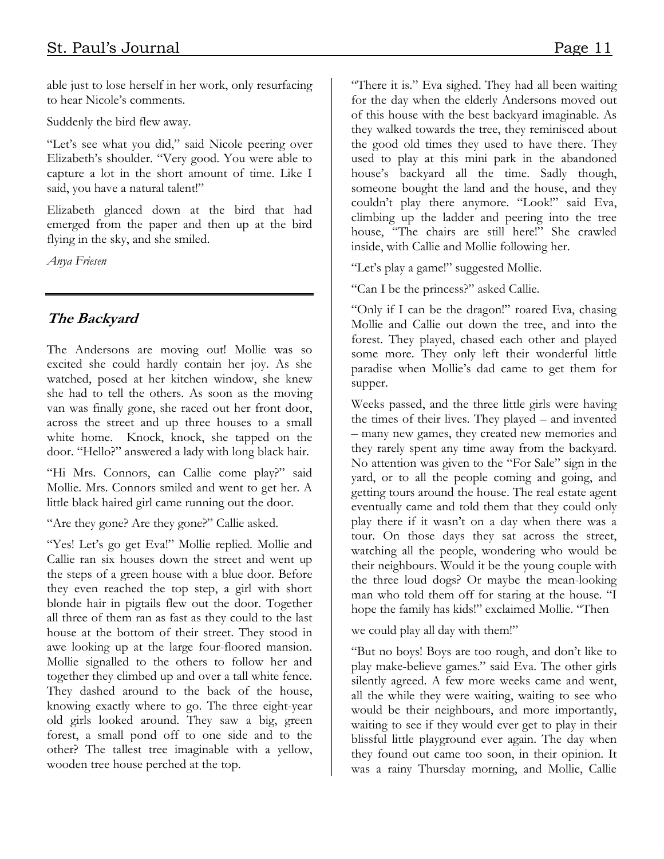able just to lose herself in her work, only resurfacing to hear Nicole's comments.

Suddenly the bird flew away.

"Let's see what you did," said Nicole peering over Elizabeth's shoulder. "Very good. You were able to capture a lot in the short amount of time. Like I said, you have a natural talent!"

Elizabeth glanced down at the bird that had emerged from the paper and then up at the bird flying in the sky, and she smiled.

Anya Friesen

#### The Backyard

The Andersons are moving out! Mollie was so excited she could hardly contain her joy. As she watched, posed at her kitchen window, she knew she had to tell the others. As soon as the moving van was finally gone, she raced out her front door, across the street and up three houses to a small white home. Knock, knock, she tapped on the door. "Hello?" answered a lady with long black hair.

"Hi Mrs. Connors, can Callie come play?" said Mollie. Mrs. Connors smiled and went to get her. A little black haired girl came running out the door.

"Are they gone? Are they gone?" Callie asked.

"Yes! Let's go get Eva!" Mollie replied. Mollie and Callie ran six houses down the street and went up the steps of a green house with a blue door. Before they even reached the top step, a girl with short blonde hair in pigtails flew out the door. Together all three of them ran as fast as they could to the last house at the bottom of their street. They stood in awe looking up at the large four-floored mansion. Mollie signalled to the others to follow her and together they climbed up and over a tall white fence. They dashed around to the back of the house, knowing exactly where to go. The three eight-year old girls looked around. They saw a big, green forest, a small pond off to one side and to the other? The tallest tree imaginable with a yellow, wooden tree house perched at the top.

"There it is." Eva sighed. They had all been waiting for the day when the elderly Andersons moved out of this house with the best backyard imaginable. As they walked towards the tree, they reminisced about the good old times they used to have there. They used to play at this mini park in the abandoned house's backyard all the time. Sadly though, someone bought the land and the house, and they couldn't play there anymore. "Look!" said Eva, climbing up the ladder and peering into the tree house, "The chairs are still here!" She crawled inside, with Callie and Mollie following her.

"Let's play a game!" suggested Mollie.

"Can I be the princess?" asked Callie.

"Only if I can be the dragon!" roared Eva, chasing Mollie and Callie out down the tree, and into the forest. They played, chased each other and played some more. They only left their wonderful little paradise when Mollie's dad came to get them for supper.

Weeks passed, and the three little girls were having the times of their lives. They played – and invented – many new games, they created new memories and they rarely spent any time away from the backyard. No attention was given to the "For Sale" sign in the yard, or to all the people coming and going, and getting tours around the house. The real estate agent eventually came and told them that they could only play there if it wasn't on a day when there was a tour. On those days they sat across the street, watching all the people, wondering who would be their neighbours. Would it be the young couple with the three loud dogs? Or maybe the mean-looking man who told them off for staring at the house. "I hope the family has kids!" exclaimed Mollie. "Then

we could play all day with them!"

"But no boys! Boys are too rough, and don't like to play make-believe games." said Eva. The other girls silently agreed. A few more weeks came and went, all the while they were waiting, waiting to see who would be their neighbours, and more importantly, waiting to see if they would ever get to play in their blissful little playground ever again. The day when they found out came too soon, in their opinion. It was a rainy Thursday morning, and Mollie, Callie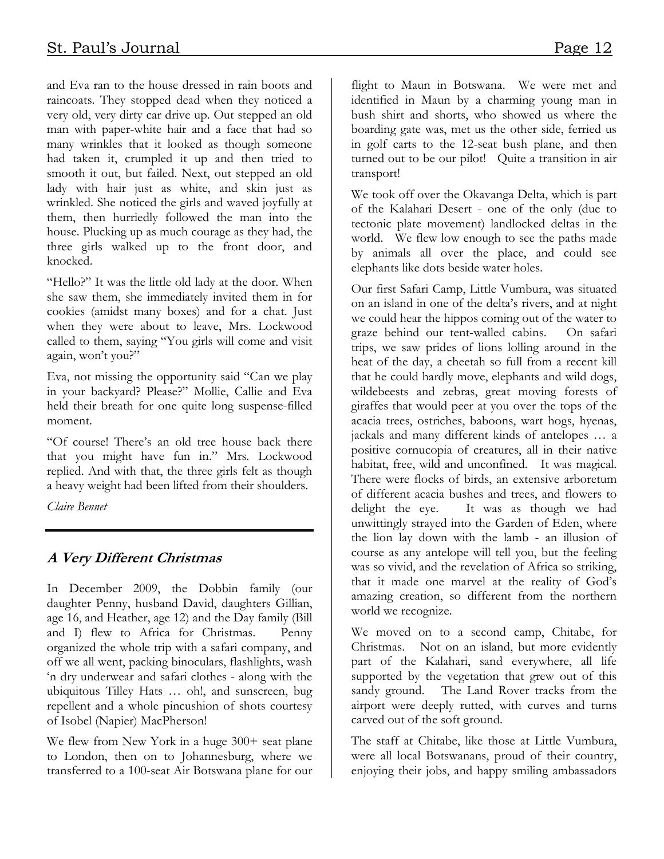and Eva ran to the house dressed in rain boots and raincoats. They stopped dead when they noticed a very old, very dirty car drive up. Out stepped an old man with paper-white hair and a face that had so many wrinkles that it looked as though someone had taken it, crumpled it up and then tried to smooth it out, but failed. Next, out stepped an old lady with hair just as white, and skin just as wrinkled. She noticed the girls and waved joyfully at them, then hurriedly followed the man into the house. Plucking up as much courage as they had, the three girls walked up to the front door, and knocked.

"Hello?" It was the little old lady at the door. When she saw them, she immediately invited them in for cookies (amidst many boxes) and for a chat. Just when they were about to leave, Mrs. Lockwood called to them, saying "You girls will come and visit again, won't you?"

Eva, not missing the opportunity said "Can we play in your backyard? Please?" Mollie, Callie and Eva held their breath for one quite long suspense-filled moment.

"Of course! There's an old tree house back there that you might have fun in." Mrs. Lockwood replied. And with that, the three girls felt as though a heavy weight had been lifted from their shoulders.

Claire Bennet

#### A Very Different Christmas

In December 2009, the Dobbin family (our daughter Penny, husband David, daughters Gillian, age 16, and Heather, age 12) and the Day family (Bill and I) flew to Africa for Christmas. Penny organized the whole trip with a safari company, and off we all went, packing binoculars, flashlights, wash 'n dry underwear and safari clothes - along with the ubiquitous Tilley Hats … oh!, and sunscreen, bug repellent and a whole pincushion of shots courtesy of Isobel (Napier) MacPherson!

We flew from New York in a huge 300+ seat plane to London, then on to Johannesburg, where we transferred to a 100-seat Air Botswana plane for our flight to Maun in Botswana. We were met and identified in Maun by a charming young man in bush shirt and shorts, who showed us where the boarding gate was, met us the other side, ferried us in golf carts to the 12-seat bush plane, and then turned out to be our pilot! Quite a transition in air transport!

We took off over the Okavanga Delta, which is part of the Kalahari Desert - one of the only (due to tectonic plate movement) landlocked deltas in the world. We flew low enough to see the paths made by animals all over the place, and could see elephants like dots beside water holes.

Our first Safari Camp, Little Vumbura, was situated on an island in one of the delta's rivers, and at night we could hear the hippos coming out of the water to graze behind our tent-walled cabins. On safari trips, we saw prides of lions lolling around in the heat of the day, a cheetah so full from a recent kill that he could hardly move, elephants and wild dogs, wildebeests and zebras, great moving forests of giraffes that would peer at you over the tops of the acacia trees, ostriches, baboons, wart hogs, hyenas, jackals and many different kinds of antelopes … a positive cornucopia of creatures, all in their native habitat, free, wild and unconfined. It was magical. There were flocks of birds, an extensive arboretum of different acacia bushes and trees, and flowers to delight the eye. It was as though we had unwittingly strayed into the Garden of Eden, where the lion lay down with the lamb - an illusion of course as any antelope will tell you, but the feeling was so vivid, and the revelation of Africa so striking, that it made one marvel at the reality of God's amazing creation, so different from the northern world we recognize.

We moved on to a second camp, Chitabe, for Christmas. Not on an island, but more evidently part of the Kalahari, sand everywhere, all life supported by the vegetation that grew out of this sandy ground. The Land Rover tracks from the airport were deeply rutted, with curves and turns carved out of the soft ground.

The staff at Chitabe, like those at Little Vumbura, were all local Botswanans, proud of their country, enjoying their jobs, and happy smiling ambassadors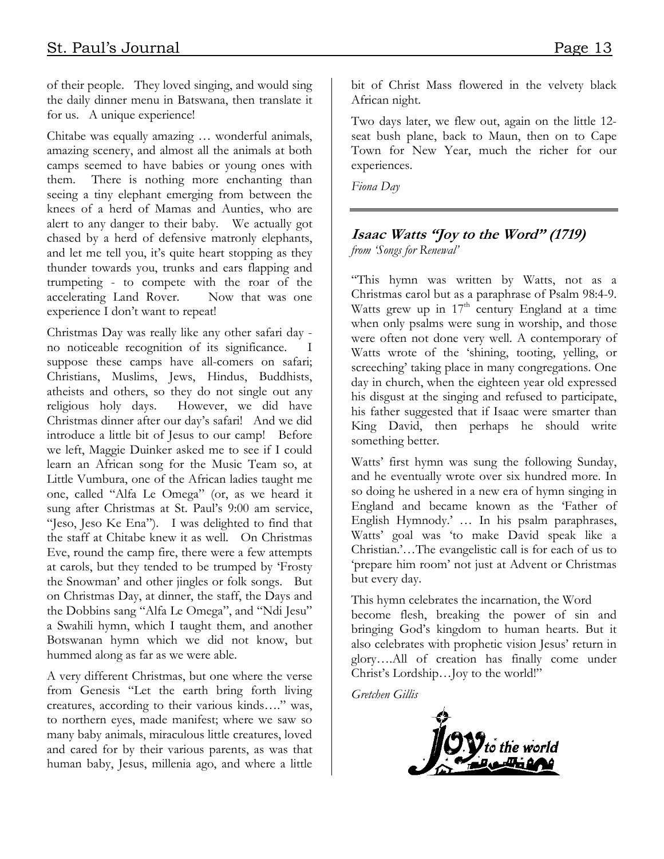of their people. They loved singing, and would sing the daily dinner menu in Batswana, then translate it for us. A unique experience!

Chitabe was equally amazing … wonderful animals, amazing scenery, and almost all the animals at both camps seemed to have babies or young ones with them. There is nothing more enchanting than seeing a tiny elephant emerging from between the knees of a herd of Mamas and Aunties, who are alert to any danger to their baby. We actually got chased by a herd of defensive matronly elephants, and let me tell you, it's quite heart stopping as they thunder towards you, trunks and ears flapping and trumpeting - to compete with the roar of the accelerating Land Rover. Now that was one experience I don't want to repeat!

Christmas Day was really like any other safari day no noticeable recognition of its significance. I suppose these camps have all-comers on safari; Christians, Muslims, Jews, Hindus, Buddhists, atheists and others, so they do not single out any religious holy days. However, we did have Christmas dinner after our day's safari! And we did introduce a little bit of Jesus to our camp! Before we left, Maggie Duinker asked me to see if I could learn an African song for the Music Team so, at Little Vumbura, one of the African ladies taught me one, called "Alfa Le Omega" (or, as we heard it sung after Christmas at St. Paul's 9:00 am service, "Jeso, Jeso Ke Ena"). I was delighted to find that the staff at Chitabe knew it as well. On Christmas Eve, round the camp fire, there were a few attempts at carols, but they tended to be trumped by 'Frosty the Snowman' and other jingles or folk songs. But on Christmas Day, at dinner, the staff, the Days and the Dobbins sang "Alfa Le Omega", and "Ndi Jesu" a Swahili hymn, which I taught them, and another Botswanan hymn which we did not know, but hummed along as far as we were able.

A very different Christmas, but one where the verse from Genesis "Let the earth bring forth living creatures, according to their various kinds…." was, to northern eyes, made manifest; where we saw so many baby animals, miraculous little creatures, loved and cared for by their various parents, as was that human baby, Jesus, millenia ago, and where a little

bit of Christ Mass flowered in the velvety black African night.

Two days later, we flew out, again on the little 12 seat bush plane, back to Maun, then on to Cape Town for New Year, much the richer for our experiences.

Fiona Day

#### Isaac Watts "Joy to the Word" (1719) from 'Songs for Renewal'

"This hymn was written by Watts, not as a Christmas carol but as a paraphrase of Psalm 98:4-9. Watts grew up in  $17<sup>th</sup>$  century England at a time when only psalms were sung in worship, and those were often not done very well. A contemporary of Watts wrote of the 'shining, tooting, yelling, or screeching' taking place in many congregations. One day in church, when the eighteen year old expressed his disgust at the singing and refused to participate, his father suggested that if Isaac were smarter than King David, then perhaps he should write something better.

Watts' first hymn was sung the following Sunday, and he eventually wrote over six hundred more. In so doing he ushered in a new era of hymn singing in England and became known as the 'Father of English Hymnody.' … In his psalm paraphrases, Watts' goal was 'to make David speak like a Christian.'…The evangelistic call is for each of us to 'prepare him room' not just at Advent or Christmas but every day.

This hymn celebrates the incarnation, the Word become flesh, breaking the power of sin and bringing God's kingdom to human hearts. But it also celebrates with prophetic vision Jesus' return in glory….All of creation has finally come under Christ's Lordship…Joy to the world!"

Gretchen Gillis

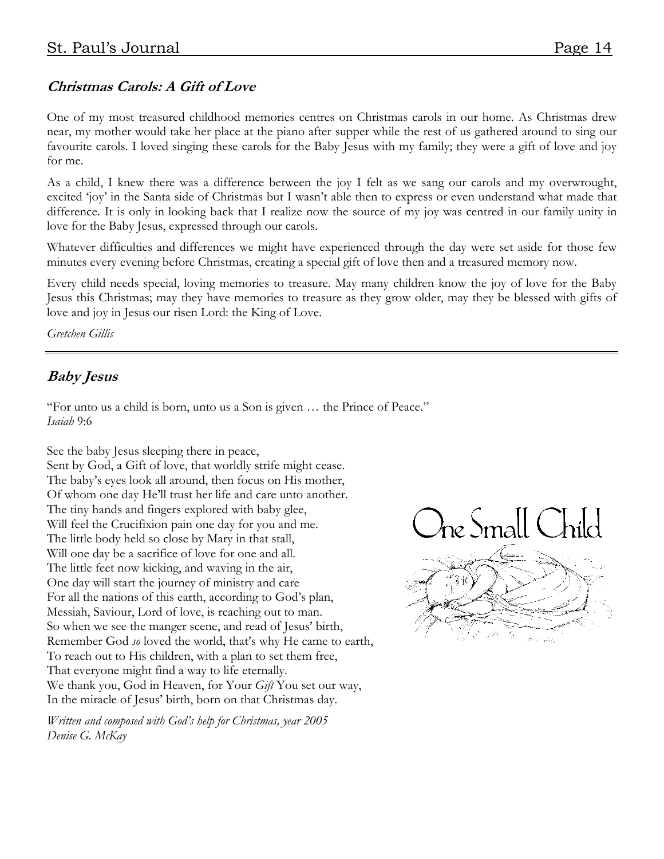#### Christmas Carols: A Gift of Love

One of my most treasured childhood memories centres on Christmas carols in our home. As Christmas drew near, my mother would take her place at the piano after supper while the rest of us gathered around to sing our favourite carols. I loved singing these carols for the Baby Jesus with my family; they were a gift of love and joy for me.

As a child, I knew there was a difference between the joy I felt as we sang our carols and my overwrought, excited 'joy' in the Santa side of Christmas but I wasn't able then to express or even understand what made that difference. It is only in looking back that I realize now the source of my joy was centred in our family unity in love for the Baby Jesus, expressed through our carols.

Whatever difficulties and differences we might have experienced through the day were set aside for those few minutes every evening before Christmas, creating a special gift of love then and a treasured memory now.

Every child needs special, loving memories to treasure. May many children know the joy of love for the Baby Jesus this Christmas; may they have memories to treasure as they grow older, may they be blessed with gifts of love and joy in Jesus our risen Lord: the King of Love.

Gretchen Gillis

#### Baby Jesus

"For unto us a child is born, unto us a Son is given … the Prince of Peace." Isaiah 9:6

See the baby Jesus sleeping there in peace, Sent by God, a Gift of love, that worldly strife might cease. The baby's eyes look all around, then focus on His mother, Of whom one day He'll trust her life and care unto another. The tiny hands and fingers explored with baby glee, Will feel the Crucifixion pain one day for you and me. The little body held so close by Mary in that stall, Will one day be a sacrifice of love for one and all. The little feet now kicking, and waving in the air, One day will start the journey of ministry and care For all the nations of this earth, according to God's plan, Messiah, Saviour, Lord of love, is reaching out to man. So when we see the manger scene, and read of Jesus' birth, Remember God so loved the world, that's why He came to earth, To reach out to His children, with a plan to set them free, That everyone might find a way to life eternally. We thank you, God in Heaven, for Your Gift You set our way, In the miracle of Jesus' birth, born on that Christmas day.

Written and composed with God's help for Christmas, year 2005 Denise G. McKay

 $\partial$ ne Small C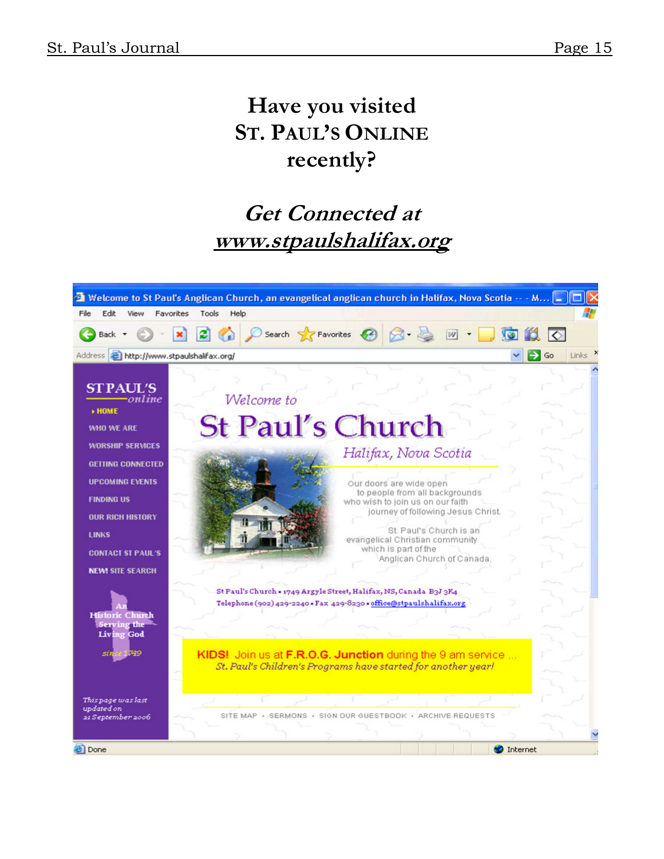# Have you visited ST. PAUL'S ONLINE recently?

## Get Connected at www.stpaulshalifax.org